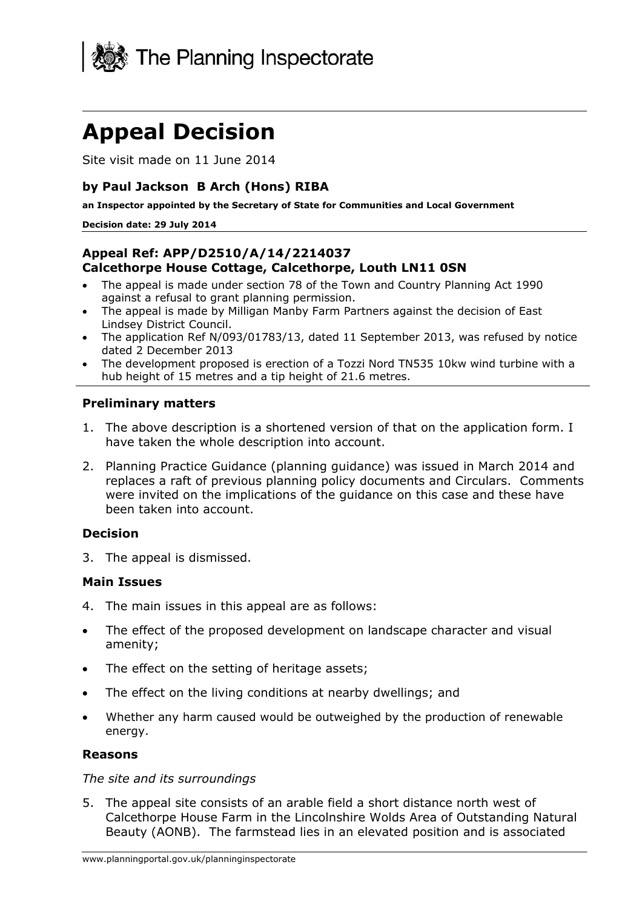

# **Appeal Decision**

Site visit made on 11 June 2014

## **by Paul Jackson B Arch (Hons) RIBA**

**an Inspector appointed by the Secretary of State for Communities and Local Government** 

#### **Decision date: 29 July 2014**

### **Appeal Ref: APP/D2510/A/14/2214037 Calcethorpe House Cottage, Calcethorpe, Louth LN11 0SN**

- The appeal is made under section 78 of the Town and Country Planning Act 1990 against a refusal to grant planning permission.
- The appeal is made by Milligan Manby Farm Partners against the decision of East Lindsey District Council.
- The application Ref N/093/01783/13, dated 11 September 2013, was refused by notice dated 2 December 2013
- The development proposed is erection of a Tozzi Nord TN535 10kw wind turbine with a hub height of 15 metres and a tip height of 21.6 metres.

### **Preliminary matters**

- 1. The above description is a shortened version of that on the application form. I have taken the whole description into account.
- 2. Planning Practice Guidance (planning guidance) was issued in March 2014 and replaces a raft of previous planning policy documents and Circulars. Comments were invited on the implications of the guidance on this case and these have been taken into account.

### **Decision**

3. The appeal is dismissed.

### **Main Issues**

- 4. The main issues in this appeal are as follows:
- The effect of the proposed development on landscape character and visual amenity;
- The effect on the setting of heritage assets:
- The effect on the living conditions at nearby dwellings; and
- Whether any harm caused would be outweighed by the production of renewable energy.

### **Reasons**

### *The site and its surroundings*

5. The appeal site consists of an arable field a short distance north west of Calcethorpe House Farm in the Lincolnshire Wolds Area of Outstanding Natural Beauty (AONB). The farmstead lies in an elevated position and is associated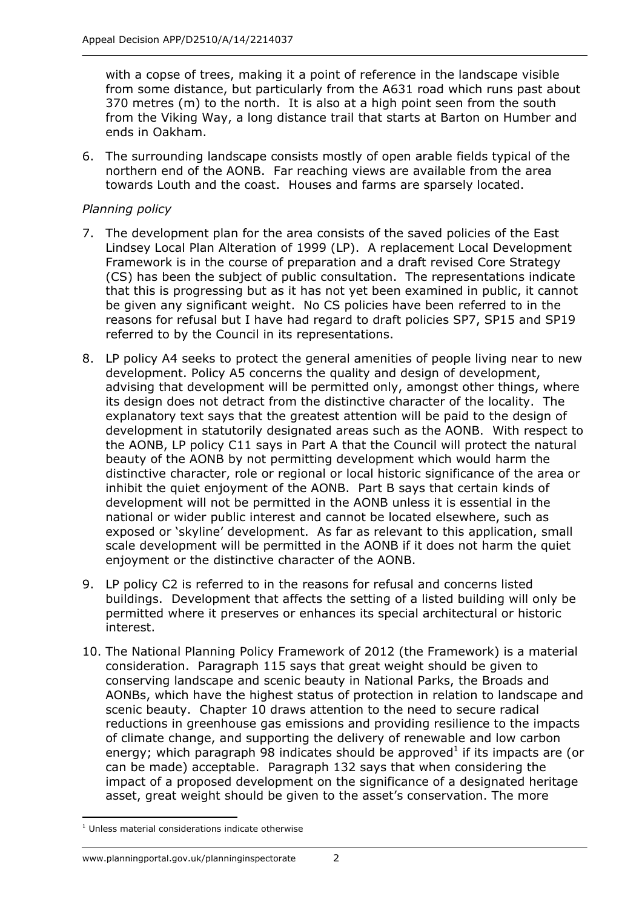with a copse of trees, making it a point of reference in the landscape visible from some distance, but particularly from the A631 road which runs past about 370 metres (m) to the north. It is also at a high point seen from the south from the Viking Way, a long distance trail that starts at Barton on Humber and ends in Oakham.

6. The surrounding landscape consists mostly of open arable fields typical of the northern end of the AONB. Far reaching views are available from the area towards Louth and the coast. Houses and farms are sparsely located.

## *Planning policy*

- 7. The development plan for the area consists of the saved policies of the East Lindsey Local Plan Alteration of 1999 (LP). A replacement Local Development Framework is in the course of preparation and a draft revised Core Strategy (CS) has been the subject of public consultation. The representations indicate that this is progressing but as it has not yet been examined in public, it cannot be given any significant weight. No CS policies have been referred to in the reasons for refusal but I have had regard to draft policies SP7, SP15 and SP19 referred to by the Council in its representations.
- 8. LP policy A4 seeks to protect the general amenities of people living near to new development. Policy A5 concerns the quality and design of development, advising that development will be permitted only, amongst other things, where its design does not detract from the distinctive character of the locality. The explanatory text says that the greatest attention will be paid to the design of development in statutorily designated areas such as the AONB. With respect to the AONB, LP policy C11 says in Part A that the Council will protect the natural beauty of the AONB by not permitting development which would harm the distinctive character, role or regional or local historic significance of the area or inhibit the quiet enjoyment of the AONB. Part B says that certain kinds of development will not be permitted in the AONB unless it is essential in the national or wider public interest and cannot be located elsewhere, such as exposed or 'skyline' development. As far as relevant to this application, small scale development will be permitted in the AONB if it does not harm the quiet enjoyment or the distinctive character of the AONB.
- 9. LP policy C2 is referred to in the reasons for refusal and concerns listed buildings. Development that affects the setting of a listed building will only be permitted where it preserves or enhances its special architectural or historic interest.
- 10. The National Planning Policy Framework of 2012 (the Framework) is a material consideration. Paragraph 115 says that great weight should be given to conserving landscape and scenic beauty in National Parks, the Broads and AONBs, which have the highest status of protection in relation to landscape and scenic beauty. Chapter 10 draws attention to the need to secure radical reductions in greenhouse gas emissions and providing resilience to the impacts of climate change, and supporting the delivery of renewable and low carbon energy; which paragraph 98 indicates should be approved<sup>1</sup> if its impacts are (or can be made) acceptable. Paragraph 132 says that when considering the impact of a proposed development on the significance of a designated heritage asset, great weight should be given to the asset's conservation. The more

<sup>1</sup> <sup>1</sup> Unless material considerations indicate otherwise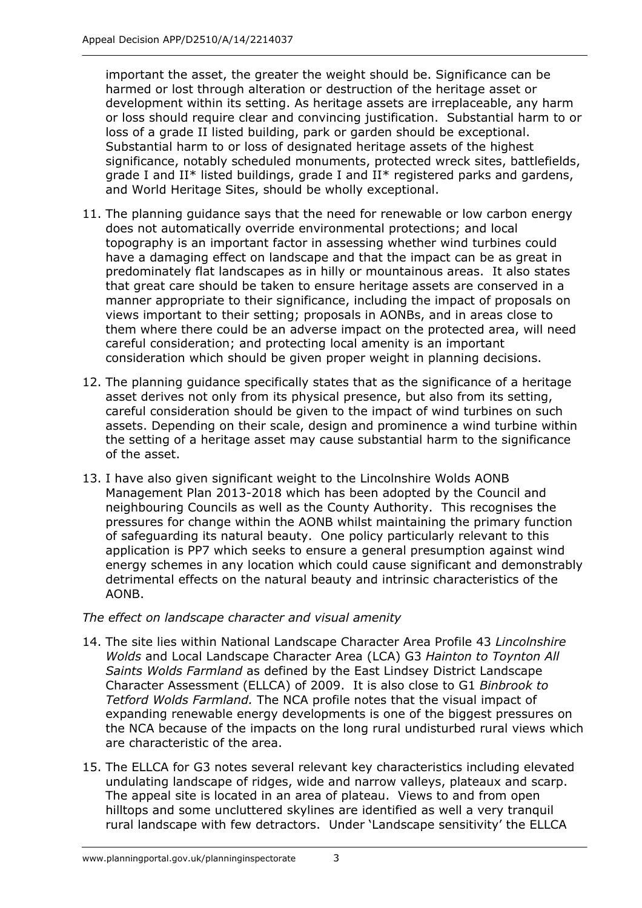important the asset, the greater the weight should be. Significance can be harmed or lost through alteration or destruction of the heritage asset or development within its setting. As heritage assets are irreplaceable, any harm or loss should require clear and convincing justification. Substantial harm to or loss of a grade II listed building, park or garden should be exceptional. Substantial harm to or loss of designated heritage assets of the highest significance, notably scheduled monuments, protected wreck sites, battlefields, grade I and II\* listed buildings, grade I and II\* registered parks and gardens, and World Heritage Sites, should be wholly exceptional.

- 11. The planning guidance says that the need for renewable or low carbon energy does not automatically override environmental protections; and local topography is an important factor in assessing whether wind turbines could have a damaging effect on landscape and that the impact can be as great in predominately flat landscapes as in hilly or mountainous areas. It also states that great care should be taken to ensure heritage assets are conserved in a manner appropriate to their significance, including the impact of proposals on views important to their setting; proposals in AONBs, and in areas close to them where there could be an adverse impact on the protected area, will need careful consideration; and protecting local amenity is an important consideration which should be given proper weight in planning decisions.
- 12. The planning guidance specifically states that as the significance of a heritage asset derives not only from its physical presence, but also from its setting, careful consideration should be given to the impact of wind turbines on such assets. Depending on their scale, design and prominence a wind turbine within the setting of a heritage asset may cause substantial harm to the significance of the asset.
- 13. I have also given significant weight to the Lincolnshire Wolds AONB Management Plan 2013-2018 which has been adopted by the Council and neighbouring Councils as well as the County Authority. This recognises the pressures for change within the AONB whilst maintaining the primary function of safeguarding its natural beauty. One policy particularly relevant to this application is PP7 which seeks to ensure a general presumption against wind energy schemes in any location which could cause significant and demonstrably detrimental effects on the natural beauty and intrinsic characteristics of the AONB.

## *The effect on landscape character and visual amenity*

- 14. The site lies within National Landscape Character Area Profile 43 *Lincolnshire Wolds* and Local Landscape Character Area (LCA) G3 *Hainton to Toynton All Saints Wolds Farmland* as defined by the East Lindsey District Landscape Character Assessment (ELLCA) of 2009. It is also close to G1 *Binbrook to Tetford Wolds Farmland.* The NCA profile notes that the visual impact of expanding renewable energy developments is one of the biggest pressures on the NCA because of the impacts on the long rural undisturbed rural views which are characteristic of the area.
- 15. The ELLCA for G3 notes several relevant key characteristics including elevated undulating landscape of ridges, wide and narrow valleys, plateaux and scarp. The appeal site is located in an area of plateau. Views to and from open hilltops and some uncluttered skylines are identified as well a very tranquil rural landscape with few detractors. Under 'Landscape sensitivity' the ELLCA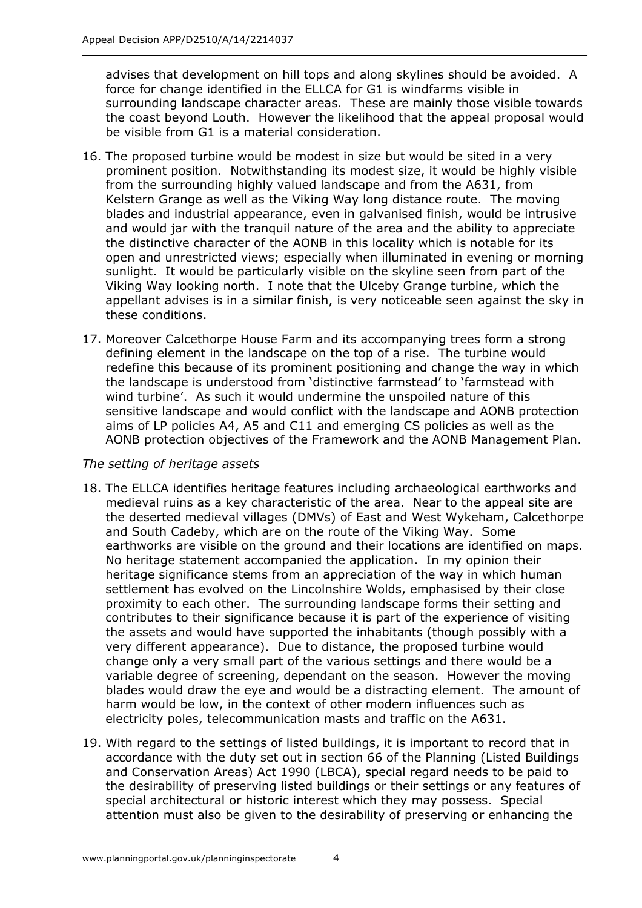advises that development on hill tops and along skylines should be avoided. A force for change identified in the ELLCA for G1 is windfarms visible in surrounding landscape character areas. These are mainly those visible towards the coast beyond Louth. However the likelihood that the appeal proposal would be visible from G1 is a material consideration.

- 16. The proposed turbine would be modest in size but would be sited in a very prominent position. Notwithstanding its modest size, it would be highly visible from the surrounding highly valued landscape and from the A631, from Kelstern Grange as well as the Viking Way long distance route. The moving blades and industrial appearance, even in galvanised finish, would be intrusive and would jar with the tranquil nature of the area and the ability to appreciate the distinctive character of the AONB in this locality which is notable for its open and unrestricted views; especially when illuminated in evening or morning sunlight. It would be particularly visible on the skyline seen from part of the Viking Way looking north. I note that the Ulceby Grange turbine, which the appellant advises is in a similar finish, is very noticeable seen against the sky in these conditions.
- 17. Moreover Calcethorpe House Farm and its accompanying trees form a strong defining element in the landscape on the top of a rise. The turbine would redefine this because of its prominent positioning and change the way in which the landscape is understood from 'distinctive farmstead' to 'farmstead with wind turbine'. As such it would undermine the unspoiled nature of this sensitive landscape and would conflict with the landscape and AONB protection aims of LP policies A4, A5 and C11 and emerging CS policies as well as the AONB protection objectives of the Framework and the AONB Management Plan.

## *The setting of heritage assets*

- 18. The ELLCA identifies heritage features including archaeological earthworks and medieval ruins as a key characteristic of the area. Near to the appeal site are the deserted medieval villages (DMVs) of East and West Wykeham, Calcethorpe and South Cadeby, which are on the route of the Viking Way. Some earthworks are visible on the ground and their locations are identified on maps. No heritage statement accompanied the application. In my opinion their heritage significance stems from an appreciation of the way in which human settlement has evolved on the Lincolnshire Wolds, emphasised by their close proximity to each other. The surrounding landscape forms their setting and contributes to their significance because it is part of the experience of visiting the assets and would have supported the inhabitants (though possibly with a very different appearance). Due to distance, the proposed turbine would change only a very small part of the various settings and there would be a variable degree of screening, dependant on the season. However the moving blades would draw the eye and would be a distracting element. The amount of harm would be low, in the context of other modern influences such as electricity poles, telecommunication masts and traffic on the A631.
- 19. With regard to the settings of listed buildings, it is important to record that in accordance with the duty set out in section 66 of the Planning (Listed Buildings and Conservation Areas) Act 1990 (LBCA), special regard needs to be paid to the desirability of preserving listed buildings or their settings or any features of special architectural or historic interest which they may possess. Special attention must also be given to the desirability of preserving or enhancing the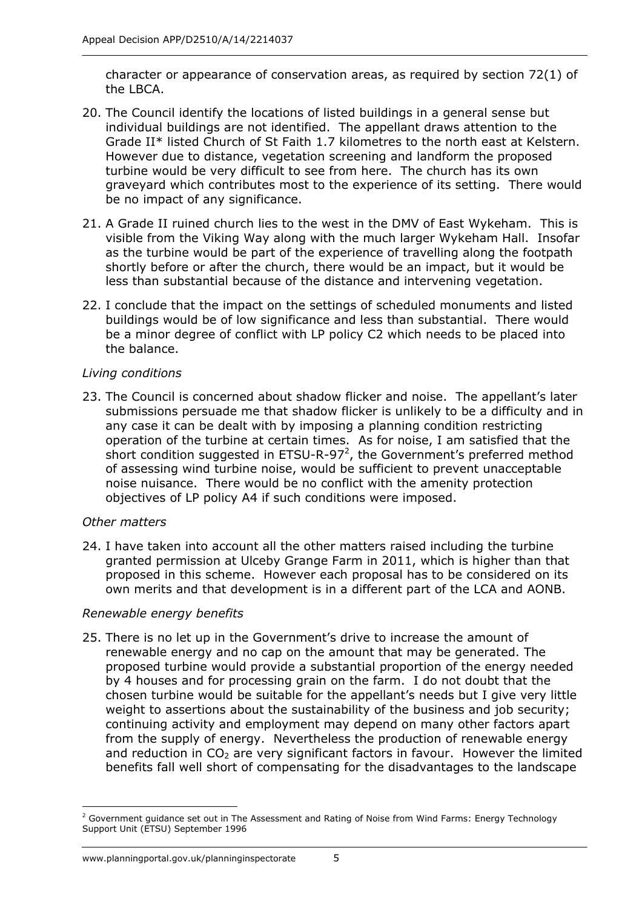character or appearance of conservation areas, as required by section 72(1) of the LBCA.

- 20. The Council identify the locations of listed buildings in a general sense but individual buildings are not identified. The appellant draws attention to the Grade II\* listed Church of St Faith 1.7 kilometres to the north east at Kelstern. However due to distance, vegetation screening and landform the proposed turbine would be very difficult to see from here. The church has its own graveyard which contributes most to the experience of its setting. There would be no impact of any significance.
- 21. A Grade II ruined church lies to the west in the DMV of East Wykeham. This is visible from the Viking Way along with the much larger Wykeham Hall. Insofar as the turbine would be part of the experience of travelling along the footpath shortly before or after the church, there would be an impact, but it would be less than substantial because of the distance and intervening vegetation.
- 22. I conclude that the impact on the settings of scheduled monuments and listed buildings would be of low significance and less than substantial. There would be a minor degree of conflict with LP policy C2 which needs to be placed into the balance.

## *Living conditions*

23. The Council is concerned about shadow flicker and noise. The appellant's later submissions persuade me that shadow flicker is unlikely to be a difficulty and in any case it can be dealt with by imposing a planning condition restricting operation of the turbine at certain times. As for noise, I am satisfied that the short condition suggested in ETSU-R-97<sup>2</sup>, the Government's preferred method of assessing wind turbine noise, would be sufficient to prevent unacceptable noise nuisance. There would be no conflict with the amenity protection objectives of LP policy A4 if such conditions were imposed.

### *Other matters*

24. I have taken into account all the other matters raised including the turbine granted permission at Ulceby Grange Farm in 2011, which is higher than that proposed in this scheme. However each proposal has to be considered on its own merits and that development is in a different part of the LCA and AONB.

## *Renewable energy benefits*

25. There is no let up in the Government's drive to increase the amount of renewable energy and no cap on the amount that may be generated. The proposed turbine would provide a substantial proportion of the energy needed by 4 houses and for processing grain on the farm. I do not doubt that the chosen turbine would be suitable for the appellant's needs but I give very little weight to assertions about the sustainability of the business and job security; continuing activity and employment may depend on many other factors apart from the supply of energy. Nevertheless the production of renewable energy and reduction in  $CO<sub>2</sub>$  are very significant factors in favour. However the limited benefits fall well short of compensating for the disadvantages to the landscape

<sup>-</sup><sup>2</sup> Government guidance set out in The Assessment and Rating of Noise from Wind Farms: Energy Technology Support Unit (ETSU) September 1996